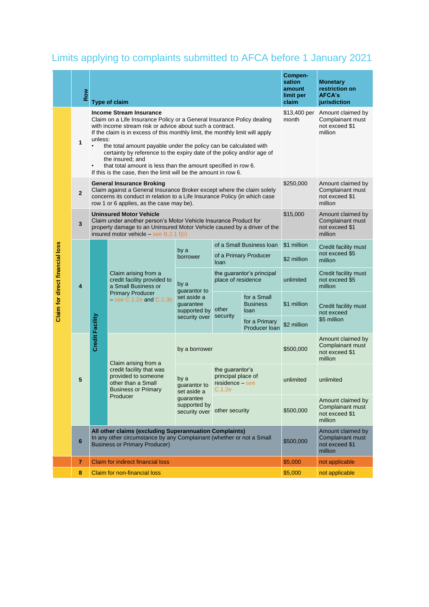## Limits applying to complaints submitted to AFCA before 1 January 2021

|                                        | Row            |                                                                                                                                                                        | <b>Type of claim</b>                                                                                                                                                                                                                                                                                                                                                                                                                                                                                                                                        | Compen-<br>sation<br>amount<br>limit per<br>claim                                 | <b>Monetary</b><br>restriction on<br><b>AFCA's</b><br>jurisdiction |                                        |             |                                                                    |
|----------------------------------------|----------------|------------------------------------------------------------------------------------------------------------------------------------------------------------------------|-------------------------------------------------------------------------------------------------------------------------------------------------------------------------------------------------------------------------------------------------------------------------------------------------------------------------------------------------------------------------------------------------------------------------------------------------------------------------------------------------------------------------------------------------------------|-----------------------------------------------------------------------------------|--------------------------------------------------------------------|----------------------------------------|-------------|--------------------------------------------------------------------|
| <b>Claim for direct financial loss</b> | 1              | unless:                                                                                                                                                                | <b>Income Stream Insurance</b><br>Claim on a Life Insurance Policy or a General Insurance Policy dealing<br>with income stream risk or advice about such a contract.<br>If the claim is in excess of this monthly limit, the monthly limit will apply<br>the total amount payable under the policy can be calculated with<br>certainty by reference to the expiry date of the policy and/or age of<br>the insured; and<br>that total amount is less than the amount specified in row 6.<br>If this is the case, then the limit will be the amount in row 6. | \$13,400 per<br>month                                                             | Amount claimed by<br>Complainant must<br>not exceed \$1<br>million |                                        |             |                                                                    |
|                                        | $\overline{2}$ |                                                                                                                                                                        | <b>General Insurance Broking</b><br>Claim against a General Insurance Broker except where the claim solely<br>concerns its conduct in relation to a Life Insurance Policy (in which case<br>row 1 or 6 applies, as the case may be).                                                                                                                                                                                                                                                                                                                        | \$250,000                                                                         | Amount claimed by<br>Complainant must<br>not exceed \$1<br>million |                                        |             |                                                                    |
|                                        | 3              |                                                                                                                                                                        | <b>Uninsured Motor Vehicle</b><br>Claim under another person's Motor Vehicle Insurance Product for<br>property damage to an Uninsured Motor Vehicle caused by a driver of the<br>insured motor vehicle - see B.2.1 $f)(i)$                                                                                                                                                                                                                                                                                                                                  | \$15,000                                                                          | Amount claimed by<br>Complainant must<br>not exceed \$1<br>million |                                        |             |                                                                    |
|                                        | 4              | Credit Facility                                                                                                                                                        | Claim arising from a<br>credit facility provided to<br>a Small Business or<br><b>Primary Producer</b><br>$-$ see C.1.2e and C.1.3b                                                                                                                                                                                                                                                                                                                                                                                                                          | by a<br>borrower                                                                  | of a Small Business Ioan                                           |                                        | \$1 million | Credit facility must<br>not exceed \$5<br>million                  |
|                                        |                |                                                                                                                                                                        |                                                                                                                                                                                                                                                                                                                                                                                                                                                                                                                                                             |                                                                                   | of a Primary Producer<br>loan                                      |                                        | \$2 million |                                                                    |
|                                        |                |                                                                                                                                                                        |                                                                                                                                                                                                                                                                                                                                                                                                                                                                                                                                                             | by a<br>guarantor to<br>set aside a<br>guarantee<br>supported by<br>security over | the guarantor's principal<br>place of residence                    |                                        | unlimited   | Credit facility must<br>not exceed \$5<br>million                  |
|                                        |                |                                                                                                                                                                        |                                                                                                                                                                                                                                                                                                                                                                                                                                                                                                                                                             |                                                                                   | other<br>security                                                  | for a Small<br><b>Business</b><br>loan | \$1 million | Credit facility must<br>not exceed<br>\$5 million                  |
|                                        |                |                                                                                                                                                                        |                                                                                                                                                                                                                                                                                                                                                                                                                                                                                                                                                             |                                                                                   |                                                                    | for a Primary<br>Producer Ioan         | \$2 million |                                                                    |
|                                        | 5              |                                                                                                                                                                        | Claim arising from a<br>credit facility that was<br>provided to someone<br>other than a Small<br><b>Business or Primary</b><br>Producer                                                                                                                                                                                                                                                                                                                                                                                                                     | by a borrower                                                                     |                                                                    |                                        | \$500,000   | Amount claimed by<br>Complainant must<br>not exceed \$1<br>million |
|                                        |                |                                                                                                                                                                        |                                                                                                                                                                                                                                                                                                                                                                                                                                                                                                                                                             | by a<br>quarantor to<br>set aside a<br>guarantee<br>supported by<br>security over | the guarantor's<br>principal place of<br>residence - see<br>C.1.2e |                                        | unlimited   | unlimited                                                          |
|                                        |                |                                                                                                                                                                        |                                                                                                                                                                                                                                                                                                                                                                                                                                                                                                                                                             |                                                                                   | other security                                                     |                                        | \$500,000   | Amount claimed by<br>Complainant must<br>not exceed \$1<br>million |
|                                        | 6              | All other claims (excluding Superannuation Complaints)<br>In any other circumstance by any Complainant (whether or not a Small<br><b>Business or Primary Producer)</b> |                                                                                                                                                                                                                                                                                                                                                                                                                                                                                                                                                             |                                                                                   |                                                                    |                                        |             | Amount claimed by<br>Complainant must<br>not exceed \$1<br>million |
|                                        | 7              |                                                                                                                                                                        | <b>Claim for indirect financial loss</b>                                                                                                                                                                                                                                                                                                                                                                                                                                                                                                                    | \$5,000                                                                           | not applicable                                                     |                                        |             |                                                                    |
|                                        | 8              | <b>Claim for non-financial loss</b>                                                                                                                                    |                                                                                                                                                                                                                                                                                                                                                                                                                                                                                                                                                             |                                                                                   |                                                                    |                                        | \$5,000     | not applicable                                                     |